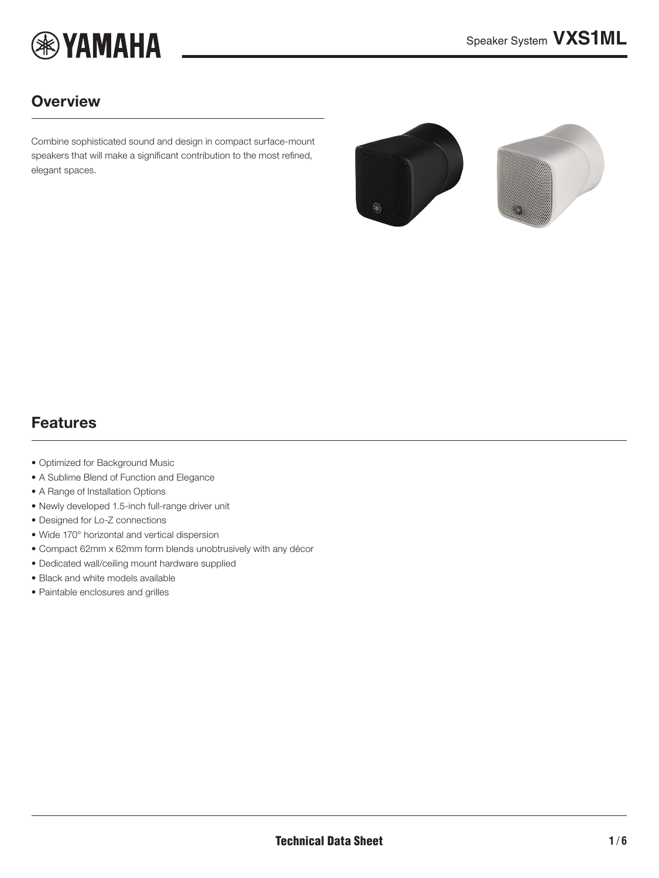

### **Overview**

Combine sophisticated sound and design in compact surface-mount speakers that will make a significant contribution to the most refined, elegant spaces.

<span id="page-0-0"></span>

### Features

- Optimized for Background Music
- A Sublime Blend of Function and Elegance
- A Range of Installation Options
- Newly developed 1.5-inch full-range driver unit
- Designed for Lo-Z connections
- Wide 170° horizontal and vertical dispersion
- Compact 62mm x 62mm form blends unobtrusively with any décor
- Dedicated wall/ceiling mount hardware supplied
- Black and white models available
- Paintable enclosures and grilles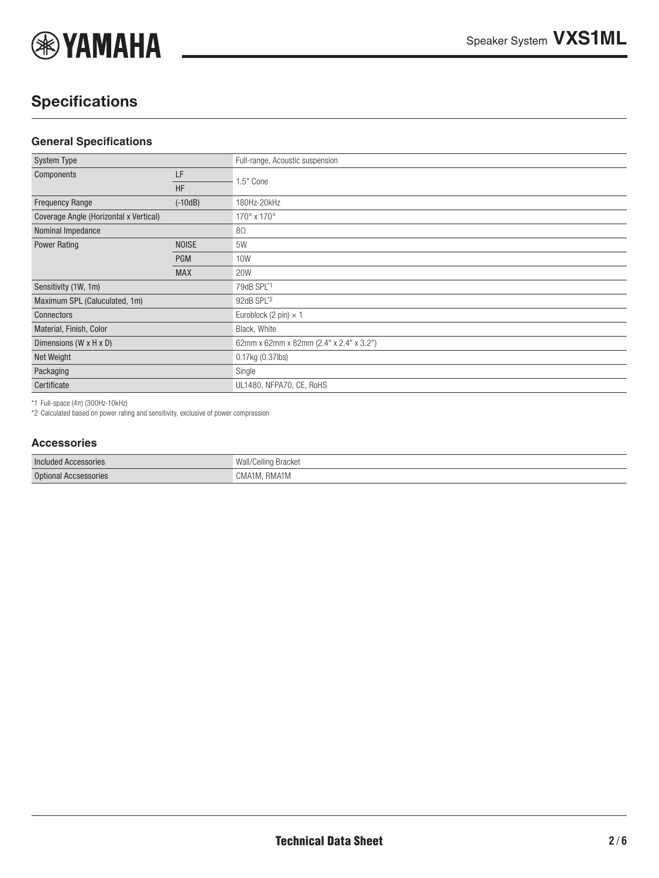

# **Specifications**

#### **General Specifications**

| <b>System Type</b>                     |              | Full-range, Acoustic suspension         |
|----------------------------------------|--------------|-----------------------------------------|
| Components                             | LF           |                                         |
|                                        | <b>HF</b>    | 1.5" Cone                               |
| <b>Frequency Range</b>                 | $(-10dB)$    | 180Hz-20kHz                             |
| Coverage Angle (Horizontal x Vertical) |              | 170° x 170°                             |
| Nominal Impedance                      |              | $8\Omega$                               |
| <b>Power Rating</b>                    | <b>NOISE</b> | 5W                                      |
|                                        | <b>PGM</b>   | 10W                                     |
|                                        | <b>MAX</b>   | <b>20W</b>                              |
| Sensitivity (1W, 1m)                   |              | 79dB SPL*1                              |
| Maximum SPL (Caluculated, 1m)          |              | 92dB SPL*2                              |
| Connectors                             |              | Euroblock (2 pin) $\times$ 1            |
| Material, Finish, Color                |              | Black, White                            |
| Dimensions (W x H x D)                 |              | 62mm x 62mm x 82mm (2.4" x 2.4" x 3.2") |
| Net Weight                             |              | 0.17kg (0.37lbs)                        |
| Packaging                              |              | Single                                  |
| Certificate                            |              | UL1480, NFPA70, CE, RoHS                |

\*1 Full-space (4π) (300Hz-10kHz)

\*2 Calculated based on power rating and sensitivity, exclusive of power compression

#### **Accessories**

| Included<br>ACCESSONES      | DIACKEL<br>vvai<br>/ UUIIII IU |
|-----------------------------|--------------------------------|
| Ontio<br>ional Accsessories | niviativi<br>⊬ا∨ات             |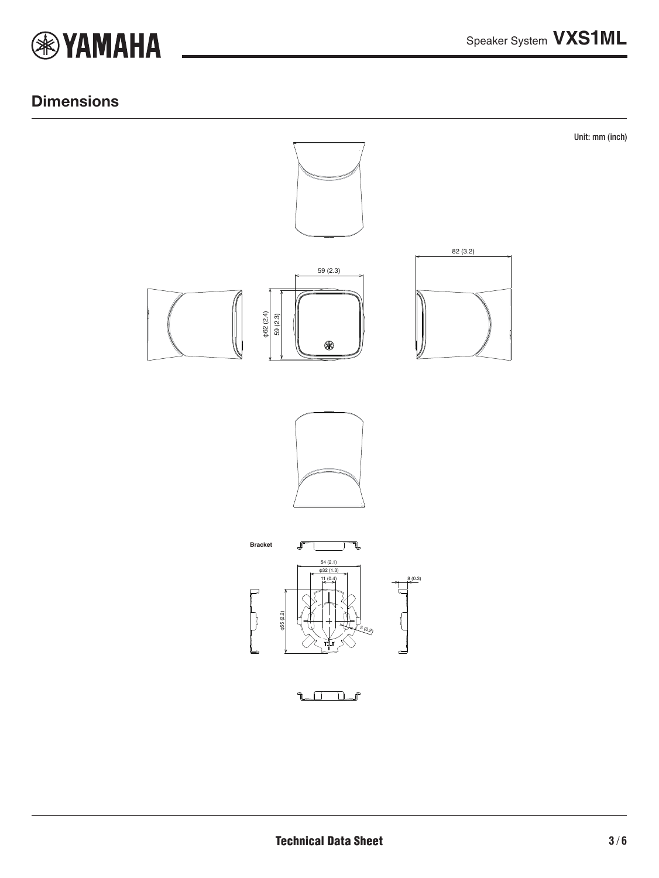

#### **Dimensions**

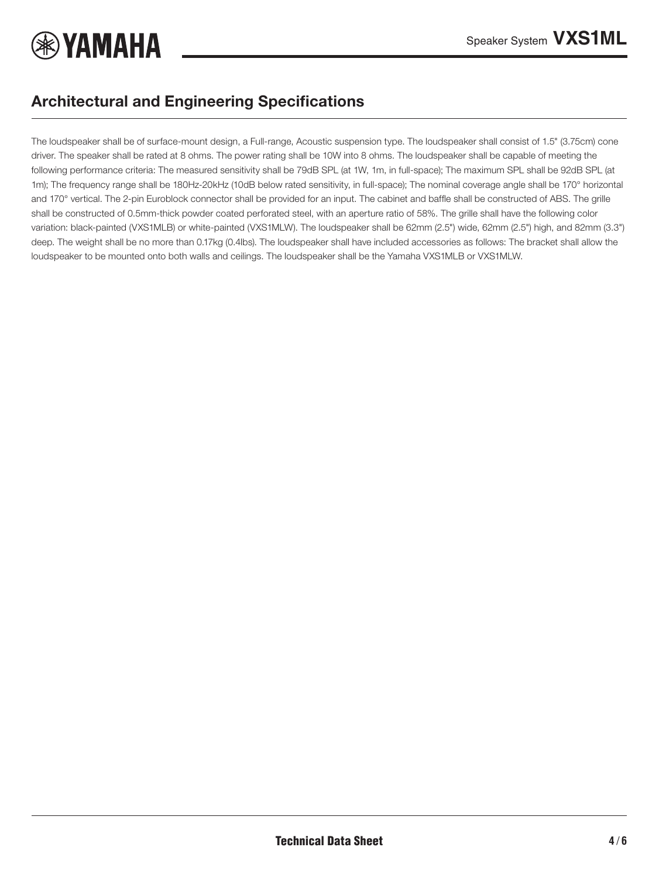

## Architectural and Engineering Specifications

The loudspeaker shall be of surface-mount design, a Full-range, Acoustic suspension type. The loudspeaker shall consist of 1.5" (3.75cm) cone driver. The speaker shall be rated at 8 ohms. The power rating shall be 10W into 8 ohms. The loudspeaker shall be capable of meeting the following performance criteria: The measured sensitivity shall be 79dB SPL (at 1W, 1m, in full-space); The maximum SPL shall be 92dB SPL (at 1m); The frequency range shall be 180Hz-20kHz (10dB below rated sensitivity, in full-space); The nominal coverage angle shall be 170° horizontal and 170° vertical. The 2-pin Euroblock connector shall be provided for an input. The cabinet and baffle shall be constructed of ABS. The grille shall be constructed of 0.5mm-thick powder coated perforated steel, with an aperture ratio of 58%. The grille shall have the following color variation: black-painted (VXS1MLB) or white-painted (VXS1MLW). The loudspeaker shall be 62mm (2.5") wide, 62mm (2.5") high, and 82mm (3.3") deep. The weight shall be no more than 0.17kg (0.4lbs). The loudspeaker shall have included accessories as follows: The bracket shall allow the loudspeaker to be mounted onto both walls and ceilings. The loudspeaker shall be the Yamaha VXS1MLB or VXS1MLW.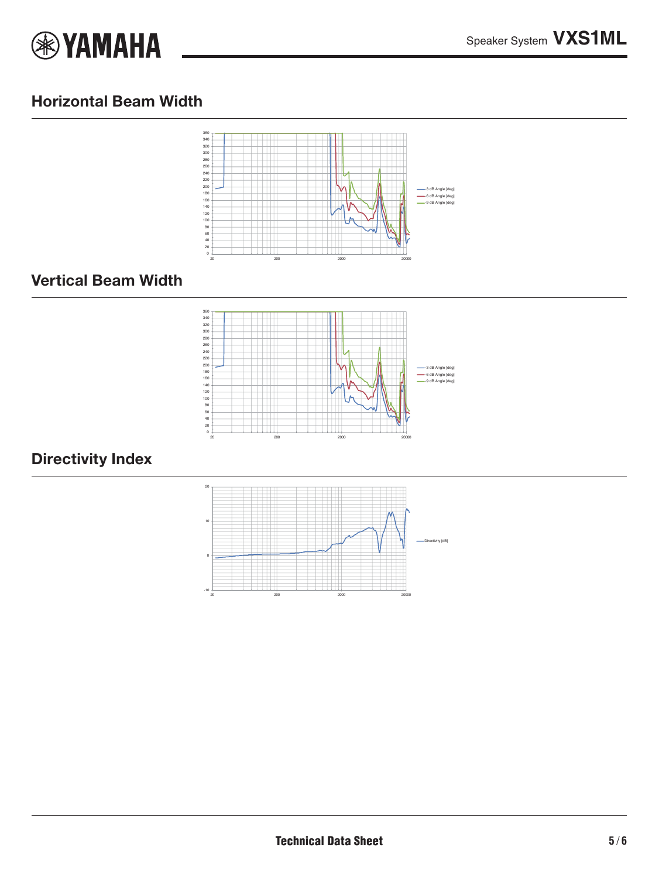

### Horizontal Beam Width



#### Vertical Beam Width



## Directivity Index